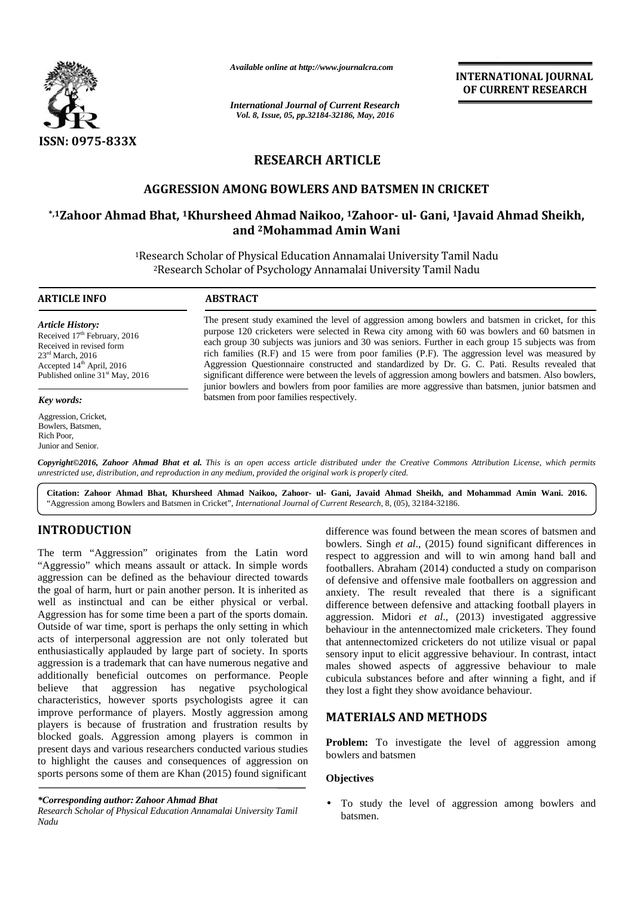

*Available online at http://www.journalcra.com*

*International Journal of Current Research Vol. 8, Issue, 05, pp.32184-32186, May, 2016*

**INTERNATIONAL JOURNAL OF CURRENT RESEARCH**

# **RESEARCH ARTICLE RESEARCH**

# **AGGRESSION AMONG BOWLERS AND BATSMEN IN CRICKET CRICKET**

# **\*,1Zahoor Ahmad Bhat, <sup>1</sup>Khursheed Ahmad Naikoo, <sup>1</sup>Zahoor- ul- Gani, <sup>1</sup>Javaid Ahmad Sheikh, <sup>1</sup>Zahoor and <sup>2</sup>Mohammad Amin Wani**

<sup>1</sup>Research Scholar of Physical Education Annamalai University Tamil Nadu Research Scholar of Physical Education Annamalai University Tamil Nadu<br><sup>2</sup>Research Scholar of Psychology Annamalai University Tamil Nadu

### **ARTICLE INFO ABSTRACT ARTICLE INFO**

*Article History:* Received 17<sup>th</sup> February, 2016 Received 17<sup>th</sup> February, 2016<br>Received in revised form 23rd March, 2016 23<sup>--</sup> March, 2016<br>Accepted 14<sup>th</sup> April, 2016 Published online 31<sup>st</sup> May, 2016

*Key words:*

Aggression, Cricket, Bowlers, Batsmen, Rich Poor, Junior and Senior. Aggression, Cricket,<br>Bowlers, Batsmen,<br>Rich Poor,<br>Junior and Senior.

The present study examined the level of aggression among bowlers and batsmen in cricket, for this purpose 120 cricketers were selected in Rewa city among with 60 was bowlers and 60 batsmen in each group 30 subjects was juniors and 30 was seniors. Further in each group 15 subjects was from rich families (R.F) and 15 were from poor families (P.F). The aggression level was measured by Aggression Questionnaire constructed and standardized by Dr. G. C. Pati. Results revealed that significant difference were between the levels of aggression among bowlers and batsmen. Also bowlers, junior bowlers and bowlers from poor families are more aggressive than batsmen, junior batsmen and batsmen from poor families respectively. The present study examined the level of aggression among bowlers and batsmen in cricket, for this purpose 120 cricketers were selected in Rewa city among with 60 was bowlers and 60 batsmen in each group 30 subjects was jun

**Copyright©2016, Zahoor Ahmad Bhat et al.** This is an open access article distributed under the Creative Commons Attribution License, which permits<br>unrestricted use, distribution, and reproduction in any medium, provided t *unrestricted use, distribution, and reproduction in any medium, provided the original work is properly cited.*

**Citation: Zahoor Ahmad Bhat, Khursheed Ahmad Naikoo, Zahoor- ul- Gani, Javaid Ahmad Sheikh, and Mohammad Amin Wani. 2016. Khursheed ul-2016.**"Aggression among Bowlers and Batsmen in Cricket", *International Journal of Current Research*, 8, (05), 32184-32186. "*Journal of* 

# **INTRODUCTION INTRODUCTION**

The term "Aggression" originates from the Latin word The term "Aggression" originates from the Latin word res<br>"Aggressio" which means assault or attack. In simple words for aggression can be defined as the behaviour directed towards the goal of harm, hurt or pain another person. It is inherited as aggression can be defined as the behaviour directed towards<br>the goal of harm, hurt or pain another person. It is inherited as<br>well as instinctual and can be either physical or verbal. Aggression has for some time been a part of the sports domain. Outside of war time, sport is perhaps the only setting in which Outside of war time, sport is perhaps the only setting in which acts of interpersonal aggression are not only tolerated but enthusiastically applauded by large part of society. In sports aggression is a trademark that can have numerous negative and additionally beneficial outcomes on performance. People <sub>cub</sub> believe that aggression has negative psychological characteristics, however sports psychologists agree it can improve performance of players. Mostly aggression among players is because of frustration and frustration results by blocked goals. Aggression among players is common in present days and various researchers conducted various studies to highlight the causes and consequences of aggression on sports persons some of them are Khan (2015) found significant enthusiastically applauded by large part of society. In sports aggression is a trademark that can have numerous negative and additionally beneficial outcomes on performance. People believe that aggression has negative psyc characteristics, however sports psychologists agree it can<br>improve performance of players. Mostly aggression among<br>players is because of frustration and frustration results by<br>blocked goals. Aggression among players is com A contribute of the theorem are the total particles.<br>
IN the three states and the total particles are the total particles and the total particles and the total particles and the total particles are the total particles and difference was<br>
bowlers. Singh<br>
in originates from the Latin word<br>
in ansult or attack. In simple words<br>
d as the behaviour directed towards<br>
oain another person. It is inherited as<br>
can be either physical or verbal.<br>
in t

*Research Scholar of Physical Education Annamalai University Tamil Nadu*

difference was found between the mean scores of batsmen and bowlers. Singh *et al*., (2015) found significant differences in respect to aggression and will to win among hand ball and footballers. Abraham (2014) conducted a study on comparison of defensive and offensive male footballers on aggression and anxiety. The result revealed that there is a significant difference between defensive and attacking football players in aggression. Midori *et al*., (2013) investigated aggressive behaviour in the antennectomized male cricketers. They found that antennectomized cricketers do not utilize visual or papal sensory input to elicit aggressive behaviour. In contrast, intact males showed aspects of aggressive behaviour to male cubicula substances before and after winning a fight, and if they lost a fight they show avoidance behaviour.

## **MATERIALS AND METHODS**

**Problem:** To investigate the level of aggression among bowlers and batsmen

## **Objectives**

 To study the level of aggression among bowlers and batsmen.

*<sup>\*</sup>Corresponding author: Zahoor Ahmad Bhat \*Corresponding*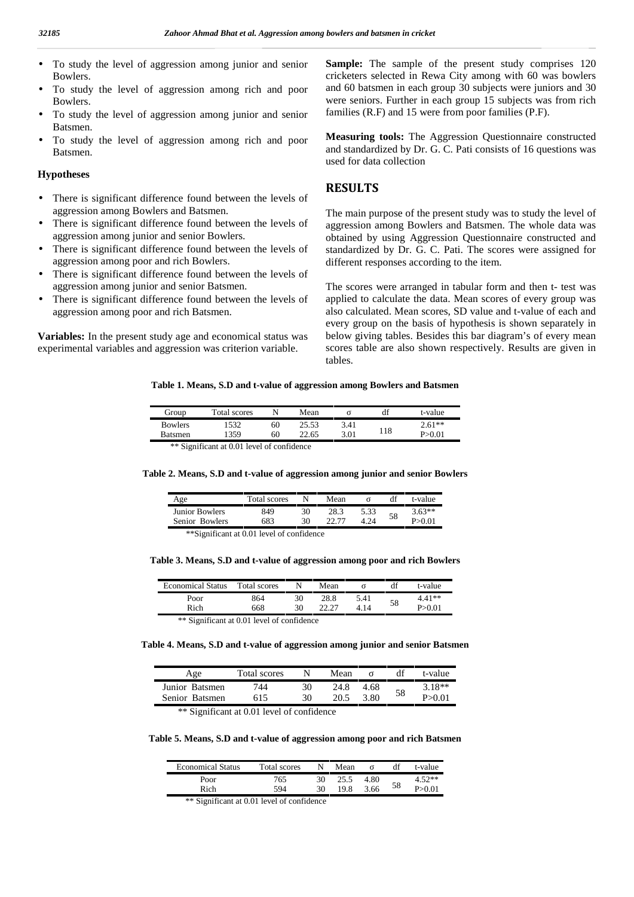- To study the level of aggression among junior and senior Bowlers.
- To study the level of aggression among rich and poor Bowlers.
- To study the level of aggression among junior and senior Batsmen.
- To study the level of aggression among rich and poor Batsmen.

#### **Hypotheses**

- There is significant difference found between the levels of aggression among Bowlers and Batsmen.
- There is significant difference found between the levels of aggression among junior and senior Bowlers.
- There is significant difference found between the levels of aggression among poor and rich Bowlers.
- There is significant difference found between the levels of aggression among junior and senior Batsmen.
- There is significant difference found between the levels of aggression among poor and rich Batsmen.

**Variables:** In the present study age and economical status was experimental variables and aggression was criterion variable.

**Sample:** The sample of the present study comprises 120 cricketers selected in Rewa City among with 60 was bowlers and 60 batsmen in each group 30 subjects were juniors and 30 were seniors. Further in each group 15 subjects was from rich families (R.F) and 15 were from poor families (P.F).

**Measuring tools:** The Aggression Questionnaire constructed and standardized by Dr. G. C. Pati consists of 16 questions was used for data collection

#### **RESULTS**

The main purpose of the present study was to study the level of aggression among Bowlers and Batsmen. The whole data was obtained by using Aggression Questionnaire constructed and standardized by Dr. G. C. Pati. The scores were assigned for different responses according to the item.

The scores were arranged in tabular form and then t- test was applied to calculate the data. Mean scores of every group was also calculated. Mean scores, SD value and t-value of each and every group on the basis of hypothesis is shown separately in below giving tables. Besides this bar diagram's of every mean scores table are also shown respectively. Results are given in tables.

#### **Table 1. Means, S.D and t-value of aggression among Bowlers and Batsmen**

| Group          | Total scores                                     |    | Mean  |      | df  | t-value  |
|----------------|--------------------------------------------------|----|-------|------|-----|----------|
| <b>Bowlers</b> | 532                                              | 60 | 25.53 | 3.41 |     | $2.61**$ |
| <b>Batsmen</b> | 1359                                             | 60 | 22.65 | 3.01 | 118 | P > 0.01 |
|                | $**$ $Cianification to 0.01$ level of confidence |    |       |      |     |          |

Significant at 0.01 level of confidence

#### **Table 2. Means, S.D and t-value of aggression among junior and senior Bowlers**

| Age            | Total scores       |     | Mean |      |    | t-value  |
|----------------|--------------------|-----|------|------|----|----------|
| Junior Bowlers | 849                | 30  | 28.3 | 5.33 | 58 | $3.63**$ |
| Senior Bowlers | 583                | 30  |      |      |    | P>0.01   |
| .<br>$\sim$    | .<br>$\sim$ $\sim$ | $-$ |      |      |    |          |

\*\*Significant at 0.01 level of confidence

#### **Table 3. Means, S.D and t-value of aggression among poor and rich Bowlers**

| <b>Economical Status</b> | Total scores |    | Mean  |      | df | t-value  |
|--------------------------|--------------|----|-------|------|----|----------|
| Poor                     | 864          | 30 | 28.8  | 5.41 |    | $4.41**$ |
| Rich                     | 668          | 30 | າາ າາ | 4.14 | 58 | P > 0.01 |

\*\* Significant at 0.01 level of confidence

**Table 4. Means, S.D and t-value of aggression among junior and senior Batsmen**

| Age            | Total scores |    | Mean |      |    | t-value  |
|----------------|--------------|----|------|------|----|----------|
| Junior Batsmen | 744          | 30 | 24.8 | 4.68 |    | $3.18**$ |
| Senior Batsmen | 615          | 30 | ንበ 5 | 3.80 | 58 | P>0.01   |

\*\* Significant at 0.01 level of confidence

**Table 5. Means, S.D and t-value of aggression among poor and rich Batsmen**

| <b>Economical Status</b> | Total scores |    | Mean |      |    | t-value |
|--------------------------|--------------|----|------|------|----|---------|
| Poor                     | 765          | 30 | 25.5 | 4.80 |    | $52**$  |
| Rich                     | 594          | 30 | 19.8 | 3.66 | 58 |         |

\*\* Significant at 0.01 level of confidence